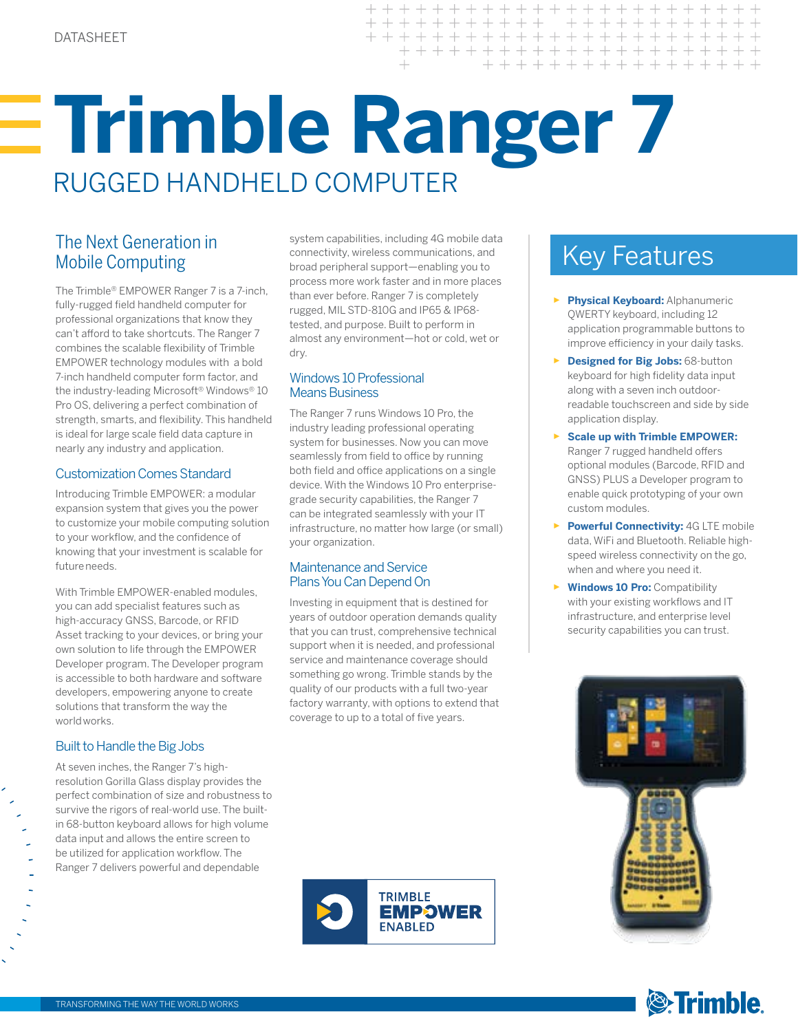# **Trimble Ranger 7**  RUGGED HANDHELD COMPUTER

## Mobile Computing

The Trimble® EMPOWER Ranger 7 is a 7-inch, fully-rugged field handheld computer for professional organizations that know they can't afford to take shortcuts. The Ranger 7 combines the scalable flexibility of Trimble EMPOWER technology modules with a bold 7-inch handheld computer form factor, and the industry-leading Microsoft® Windows® 10 Pro OS, delivering a perfect combination of strength, smarts, and flexibility. This handheld is ideal for large scale field data capture in nearly any industry and application.

#### Customization Comes Standard

Introducing Trimble EMPOWER: a modular expansion system that gives you the power to customize your mobile computing solution to your workflow, and the confidence of knowing that your investment is scalable for future needs.

With Trimble EMPOWER-enabled modules, you can add specialist features such as high-accuracy GNSS, Barcode, or RFID Asset tracking to your devices, or bring your own solution to life through the EMPOWER Developer program. The Developer program is accessible to both hardware and software developers, empowering anyone to create solutions that transform the way the world works.

#### Built to Handle the Big Jobs

At seven inches, the Ranger 7's highresolution Gorilla Glass display provides the perfect combination of size and robustness to survive the rigors of real-world use. The builtin 68-button keyboard allows for high volume data input and allows the entire screen to be utilized for application workflow. The Ranger 7 delivers powerful and dependable

The Next Generation in system capabilities, including 4G mobile data<br>
Mobile Computing<br>
Mobile Computing<br>
Mey Features system capabilities, including 4G mobile data connectivity, wireless communications, and broad peripheral support—enabling you to process more work faster and in more places than ever before. Ranger 7 is completely rugged, MIL STD-810G and IP65 & IP68 tested, and purpose. Built to perform in almost any environment—hot or cold, wet or dry.

#### Windows 10 Professional Means Business

The Ranger 7 runs Windows 10 Pro, the industry leading professional operating system for businesses. Now you can move seamlessly from field to office by running both field and office applications on a single device. With the Windows 10 Pro enterprisegrade security capabilities, the Ranger 7 can be integrated seamlessly with your IT infrastructure, no matter how large (or small) your organization.

#### Maintenance and Service Plans You Can Depend On

Investing in equipment that is destined for years of outdoor operation demands quality that you can trust, comprehensive technical support when it is needed, and professional service and maintenance coverage should something go wrong. Trimble stands by the quality of our products with a full two-year factory warranty, with options to extend that coverage to up to a total of five years.



- ► **Physical Keyboard:** Alphanumeric QWERTY keyboard, including 12 application programmable buttons to improve efficiency in your daily tasks.
- ► **Designed for Big Jobs:** 68-button keyboard for high fidelity data input along with a seven inch outdoorreadable touchscreen and side by side application display.
- ► **Scale up with Trimble EMPOWER:** Ranger 7 rugged handheld offers optional modules (Barcode, RFID and GNSS) PLUS a Developer program to enable quick prototyping of your own custom modules.
- ► **Powerful Connectivity:** 4G LTE mobile data, WiFi and Bluetooth. Reliable highspeed wireless connectivity on the go, when and where you need it.
- ► **Windows 10 Pro:** Compatibility with your existing workflows and IT infrastructure, and enterprise level security capabilities you can trust.